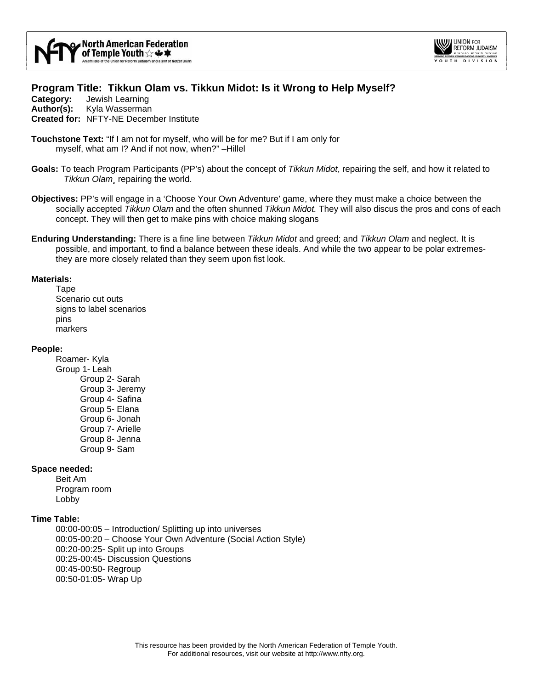



# **Program Title: Tikkun Olam vs. Tikkun Midot: Is it Wrong to Help Myself?**

**Category:** Jewish Learning **Author(s):** Kyla Wasserman **Created for:** NFTY-NE December Institute

- **Touchstone Text:** "If I am not for myself, who will be for me? But if I am only for myself, what am I? And if not now, when?" –Hillel
- **Goals:** To teach Program Participants (PP's) about the concept of *Tikkun Midot*, repairing the self, and how it related to *Tikkun Olam*, repairing the world.
- **Objectives:** PP's will engage in a 'Choose Your Own Adventure' game, where they must make a choice between the socially accepted *Tikkun Olam* and the often shunned *Tikkun Midot.* They will also discus the pros and cons of each concept. They will then get to make pins with choice making slogans
- **Enduring Understanding:** There is a fine line between *Tikkun Midot* and greed; and *Tikkun Olam* and neglect. It is possible, and important, to find a balance between these ideals. And while the two appear to be polar extremesthey are more closely related than they seem upon fist look.

#### **Materials:**

Tape Scenario cut outs signs to label scenarios pins markers

#### **People:**

Roamer- Kyla Group 1- Leah Group 2- Sarah Group 3- Jeremy Group 4- Safina Group 5- Elana Group 6- Jonah Group 7- Arielle Group 8- Jenna Group 9- Sam

#### **Space needed:**

Beit Am Program room Lobby

#### **Time Table:**

00:00-00:05 – Introduction/ Splitting up into universes 00:05-00:20 – Choose Your Own Adventure (Social Action Style) 00:20-00:25- Split up into Groups 00:25-00:45- Discussion Questions 00:45-00:50- Regroup 00:50-01:05- Wrap Up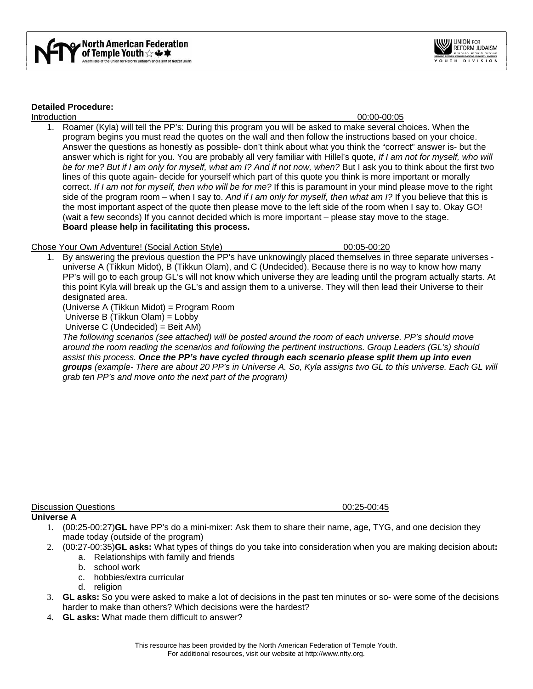



### **Detailed Procedure:**

#### Introduction 00:00-00:05

1. Roamer (Kyla) will tell the PP's: During this program you will be asked to make several choices. When the program begins you must read the quotes on the wall and then follow the instructions based on your choice. Answer the questions as honestly as possible- don't think about what you think the "correct" answer is- but the answer which is right for you. You are probably all very familiar with Hillel's quote, *If I am not for myself, who will be for me? But if I am only for myself, what am I? And if not now, when?* But I ask you to think about the first two lines of this quote again- decide for yourself which part of this quote you think is more important or morally correct. *If I am not for myself, then who will be for me?* If this is paramount in your mind please move to the right side of the program room – when I say to. *And if I am only for myself, then what am I?* If you believe that this is the most important aspect of the quote then please move to the left side of the room when I say to. Okay GO! (wait a few seconds) If you cannot decided which is more important – please stay move to the stage. **Board please help in facilitating this process.** 

## Chose Your Own Adventure! (Social Action Style)\_\_\_\_\_\_\_\_\_\_\_\_\_\_\_\_\_\_\_\_\_\_\_\_\_00:05-00:20

1. By answering the previous question the PP's have unknowingly placed themselves in three separate universes universe A (Tikkun Midot), B (Tikkun Olam), and C (Undecided). Because there is no way to know how many PP's will go to each group GL's will not know which universe they are leading until the program actually starts. At this point Kyla will break up the GL's and assign them to a universe. They will then lead their Universe to their designated area.

(Universe A (Tikkun Midot) = Program Room

Universe B (Tikkun Olam) = Lobby

Universe C (Undecided) = Beit AM)

*The following scenarios (see attached) will be posted around the room of each universe. PP's should move around the room reading the scenarios and following the pertinent instructions. Group Leaders (GL's) should assist this process. Once the PP's have cycled through each scenario please split them up into even groups (example- There are about 20 PP's in Universe A. So, Kyla assigns two GL to this universe. Each GL will grab ten PP's and move onto the next part of the program)* 

Discussion Questions\_\_\_\_\_\_\_\_\_\_\_\_\_\_\_\_\_\_\_\_\_\_\_\_\_\_\_\_\_\_\_\_\_\_\_\_\_\_\_\_\_\_\_\_\_\_\_00:25-00:45 **Universe A** 

- 1. (00:25-00:27)**GL** have PP's do a mini-mixer: Ask them to share their name, age, TYG, and one decision they made today (outside of the program)
- 2. (00:27-00:35)**GL asks:** What types of things do you take into consideration when you are making decision about**:**
	- a. Relationships with family and friends
	- b. school work
	- c. hobbies/extra curricular
	- d. religion
- 3. **GL asks:** So you were asked to make a lot of decisions in the past ten minutes or so- were some of the decisions harder to make than others? Which decisions were the hardest?
- 4. **GL asks:** What made them difficult to answer?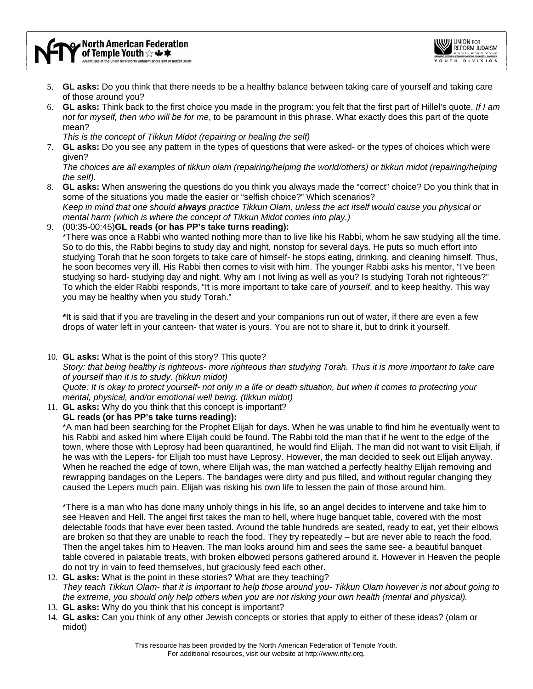

- 5. **GL asks:** Do you think that there needs to be a healthy balance between taking care of yourself and taking care of those around you?
- 6. **GL asks:** Think back to the first choice you made in the program: you felt that the first part of Hillel's quote, *If I am not for myself, then who will be for me*, to be paramount in this phrase. What exactly does this part of the quote mean?

*This is the concept of Tikkun Midot (repairing or healing the self)* 

7. **GL asks:** Do you see any pattern in the types of questions that were asked- or the types of choices which were given?

*The choices are all examples of tikkun olam (repairing/helping the world/others) or tikkun midot (repairing/helping the self).* 

- 8. **GL asks:** When answering the questions do you think you always made the "correct" choice? Do you think that in some of the situations you made the easier or "selfish choice?" Which scenarios? *Keep in mind that one should always practice Tikkun Olam, unless the act itself would cause you physical or mental harm (which is where the concept of Tikkun Midot comes into play.)*
- 9. (00:35-00:45)**GL reads (or has PP's take turns reading):**

\*There was once a Rabbi who wanted nothing more than to live like his Rabbi, whom he saw studying all the time. So to do this, the Rabbi begins to study day and night, nonstop for several days. He puts so much effort into studying Torah that he soon forgets to take care of himself- he stops eating, drinking, and cleaning himself. Thus, he soon becomes very ill. His Rabbi then comes to visit with him. The younger Rabbi asks his mentor, "I've been studying so hard- studying day and night. Why am I not living as well as you? Is studying Torah not righteous?" To which the elder Rabbi responds, "It is more important to take care of *yourself*, and to keep healthy. This way you may be healthy when you study Torah."

**\***It is said that if you are traveling in the desert and your companions run out of water, if there are even a few drops of water left in your canteen- that water is yours. You are not to share it, but to drink it yourself.

10. **GL asks:** What is the point of this story? This quote?

*Story: that being healthy is righteous- more righteous than studying Torah. Thus it is more important to take care of yourself than it is to study. (tikkun midot)* 

*Quote: It is okay to protect yourself- not only in a life or death situation, but when it comes to protecting your mental, physical, and/or emotional well being. (tikkun midot)* 

11. **GL asks:** Why do you think that this concept is important?

**GL reads (or has PP's take turns reading):** 

\*A man had been searching for the Prophet Elijah for days. When he was unable to find him he eventually went to his Rabbi and asked him where Elijah could be found. The Rabbi told the man that if he went to the edge of the town, where those with Leprosy had been quarantined, he would find Elijah. The man did not want to visit Elijah, if he was with the Lepers- for Elijah too must have Leprosy. However, the man decided to seek out Elijah anyway. When he reached the edge of town, where Elijah was, the man watched a perfectly healthy Elijah removing and rewrapping bandages on the Lepers. The bandages were dirty and pus filled, and without regular changing they caused the Lepers much pain. Elijah was risking his own life to lessen the pain of those around him.

\*There is a man who has done many unholy things in his life, so an angel decides to intervene and take him to see Heaven and Hell. The angel first takes the man to hell, where huge banquet table, covered with the most delectable foods that have ever been tasted. Around the table hundreds are seated, ready to eat, yet their elbows are broken so that they are unable to reach the food. They try repeatedly – but are never able to reach the food. Then the angel takes him to Heaven. The man looks around him and sees the same see- a beautiful banquet table covered in palatable treats, with broken elbowed persons gathered around it. However in Heaven the people do not try in vain to feed themselves, but graciously feed each other.

- 12. **GL asks:** What is the point in these stories? What are they teaching? *They teach Tikkun Olam- that it is important to help those around you- Tikkun Olam however is not about going to the extreme, you should only help others when you are not risking your own health (mental and physical).*
- 13. **GL asks:** Why do you think that his concept is important?
- 14. **GL asks:** Can you think of any other Jewish concepts or stories that apply to either of these ideas? (olam or midot)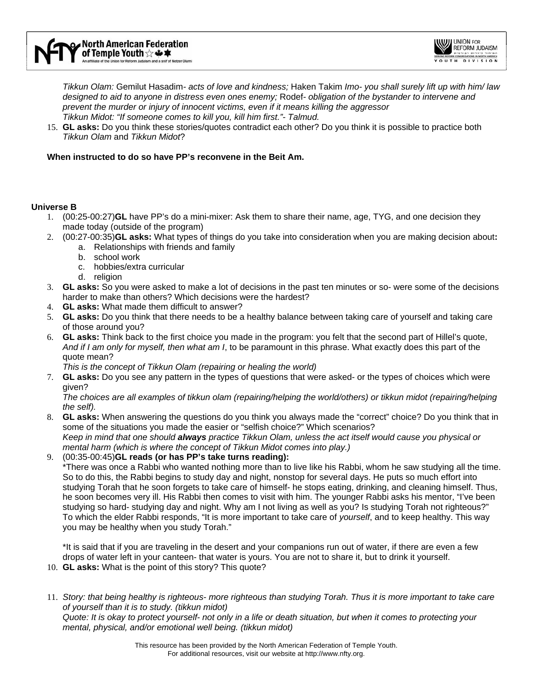

*Tikkun Olam:* Gemilut Hasadim*- acts of love and kindness;* Haken Takim *Imo- you shall surely lift up with him/ law designed to aid to anyone in distress even ones enemy;* Rodef*- obligation of the bystander to intervene and prevent the murder or injury of innocent victims, even if it means killing the aggressor Tikkun Midot: "If someone comes to kill you, kill him first."- Talmud.* 

15. **GL asks:** Do you think these stories/quotes contradict each other? Do you think it is possible to practice both *Tikkun Olam* and *Tikkun Midot*?

### **When instructed to do so have PP's reconvene in the Beit Am.**

## **Universe B**

- 1. (00:25-00:27)**GL** have PP's do a mini-mixer: Ask them to share their name, age, TYG, and one decision they made today (outside of the program)
- 2. (00:27-00:35)**GL asks:** What types of things do you take into consideration when you are making decision about**:**
	- a. Relationships with friends and family
	- b. school work
	- c. hobbies/extra curricular
	- d. religion
- 3. **GL asks:** So you were asked to make a lot of decisions in the past ten minutes or so- were some of the decisions harder to make than others? Which decisions were the hardest?
- 4. **GL asks:** What made them difficult to answer?
- 5. **GL asks:** Do you think that there needs to be a healthy balance between taking care of yourself and taking care of those around you?
- 6. **GL asks:** Think back to the first choice you made in the program: you felt that the second part of Hillel's quote, *And if I am only for myself, then what am I*, to be paramount in this phrase. What exactly does this part of the quote mean?

*This is the concept of Tikkun Olam (repairing or healing the world)* 

7. **GL asks:** Do you see any pattern in the types of questions that were asked- or the types of choices which were given?

*The choices are all examples of tikkun olam (repairing/helping the world/others) or tikkun midot (repairing/helping the self).* 

- 8. **GL asks:** When answering the questions do you think you always made the "correct" choice? Do you think that in some of the situations you made the easier or "selfish choice?" Which scenarios? *Keep in mind that one should always practice Tikkun Olam, unless the act itself would cause you physical or mental harm (which is where the concept of Tikkun Midot comes into play.)*
- 9. (00:35-00:45)**GL reads (or has PP's take turns reading):**

\*There was once a Rabbi who wanted nothing more than to live like his Rabbi, whom he saw studying all the time. So to do this, the Rabbi begins to study day and night, nonstop for several days. He puts so much effort into studying Torah that he soon forgets to take care of himself- he stops eating, drinking, and cleaning himself. Thus, he soon becomes very ill. His Rabbi then comes to visit with him. The younger Rabbi asks his mentor, "I've been studying so hard- studying day and night. Why am I not living as well as you? Is studying Torah not righteous?" To which the elder Rabbi responds, "It is more important to take care of *yourself*, and to keep healthy. This way you may be healthy when you study Torah."

\*It is said that if you are traveling in the desert and your companions run out of water, if there are even a few drops of water left in your canteen- that water is yours. You are not to share it, but to drink it yourself.

- 10. **GL asks:** What is the point of this story? This quote?
- 11. *Story: that being healthy is righteous- more righteous than studying Torah. Thus it is more important to take care of yourself than it is to study. (tikkun midot)*

*Quote: It is okay to protect yourself- not only in a life or death situation, but when it comes to protecting your mental, physical, and/or emotional well being. (tikkun midot)*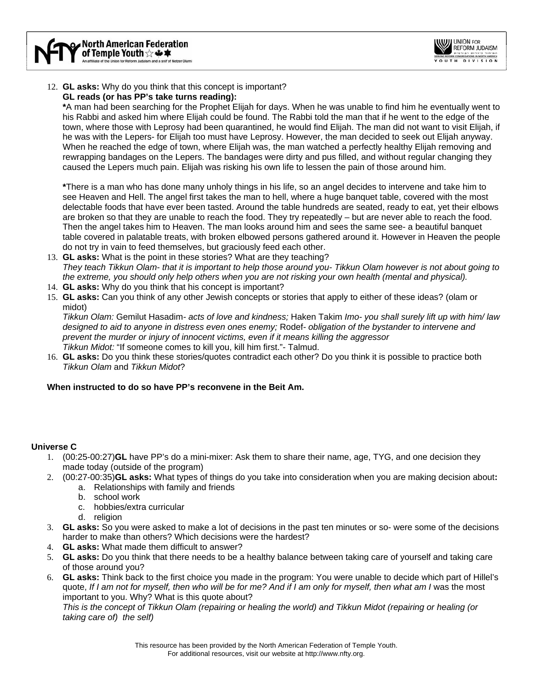

# 12. **GL asks:** Why do you think that this concept is important?

# **GL reads (or has PP's take turns reading):**

**\***A man had been searching for the Prophet Elijah for days. When he was unable to find him he eventually went to his Rabbi and asked him where Elijah could be found. The Rabbi told the man that if he went to the edge of the town, where those with Leprosy had been quarantined, he would find Elijah. The man did not want to visit Elijah, if he was with the Lepers- for Elijah too must have Leprosy. However, the man decided to seek out Elijah anyway. When he reached the edge of town, where Elijah was, the man watched a perfectly healthy Elijah removing and rewrapping bandages on the Lepers. The bandages were dirty and pus filled, and without regular changing they caused the Lepers much pain. Elijah was risking his own life to lessen the pain of those around him.

**\***There is a man who has done many unholy things in his life, so an angel decides to intervene and take him to see Heaven and Hell. The angel first takes the man to hell, where a huge banquet table, covered with the most delectable foods that have ever been tasted. Around the table hundreds are seated, ready to eat, yet their elbows are broken so that they are unable to reach the food. They try repeatedly – but are never able to reach the food. Then the angel takes him to Heaven. The man looks around him and sees the same see- a beautiful banquet table covered in palatable treats, with broken elbowed persons gathered around it. However in Heaven the people do not try in vain to feed themselves, but graciously feed each other.

- 13. **GL asks:** What is the point in these stories? What are they teaching? *They teach Tikkun Olam- that it is important to help those around you- Tikkun Olam however is not about going to the extreme, you should only help others when you are not risking your own health (mental and physical).*
- 14. **GL asks:** Why do you think that his concept is important?
- 15. **GL asks:** Can you think of any other Jewish concepts or stories that apply to either of these ideas? (olam or midot)

*Tikkun Olam:* Gemilut Hasadim*- acts of love and kindness;* Haken Takim *Imo- you shall surely lift up with him/ law designed to aid to anyone in distress even ones enemy;* Rodef*- obligation of the bystander to intervene and prevent the murder or injury of innocent victims, even if it means killing the aggressor Tikkun Midot:* "If someone comes to kill you, kill him first."*-* Talmud.

16. **GL asks:** Do you think these stories/quotes contradict each other? Do you think it is possible to practice both *Tikkun Olam* and *Tikkun Midot*?

# **When instructed to do so have PP's reconvene in the Beit Am.**

# **Universe C**

- 1. (00:25-00:27)**GL** have PP's do a mini-mixer: Ask them to share their name, age, TYG, and one decision they made today (outside of the program)
- 2. (00:27-00:35)**GL asks:** What types of things do you take into consideration when you are making decision about**:**
	- a. Relationships with family and friends
		- b. school work
		- c. hobbies/extra curricular
		- d. religion
- 3. **GL asks:** So you were asked to make a lot of decisions in the past ten minutes or so- were some of the decisions harder to make than others? Which decisions were the hardest?
- 4. **GL asks:** What made them difficult to answer?
- 5. **GL asks:** Do you think that there needs to be a healthy balance between taking care of yourself and taking care of those around you?
- 6. **GL asks:** Think back to the first choice you made in the program: You were unable to decide which part of Hillel's quote, *If I am not for myself, then who will be for me? And if I am only for myself, then what am I was the most* important to you. Why? What is this quote about? *This is the concept of Tikkun Olam (repairing or healing the world) and Tikkun Midot (repairing or healing (or taking care of) the self)*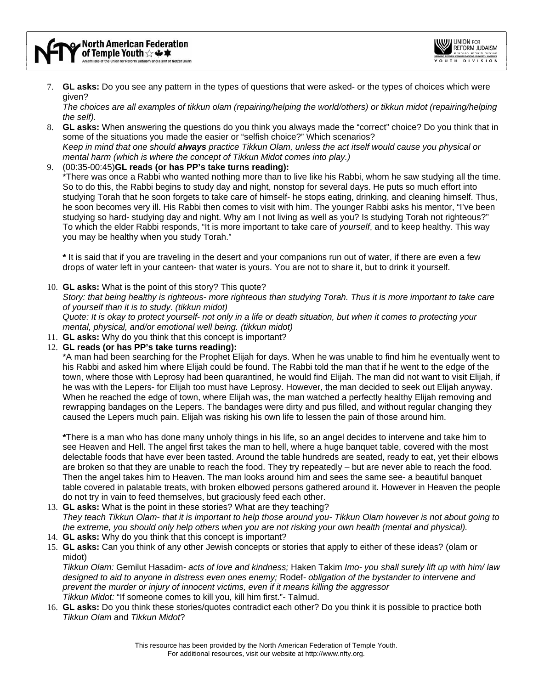7. **GL asks:** Do you see any pattern in the types of questions that were asked- or the types of choices which were given?

*The choices are all examples of tikkun olam (repairing/helping the world/others) or tikkun midot (repairing/helping the self).* 

- 8. **GL asks:** When answering the questions do you think you always made the "correct" choice? Do you think that in some of the situations you made the easier or "selfish choice?" Which scenarios? *Keep in mind that one should always practice Tikkun Olam, unless the act itself would cause you physical or mental harm (which is where the concept of Tikkun Midot comes into play.)*
- 9. (00:35-00:45)**GL reads (or has PP's take turns reading):**

\*There was once a Rabbi who wanted nothing more than to live like his Rabbi, whom he saw studying all the time. So to do this, the Rabbi begins to study day and night, nonstop for several days. He puts so much effort into studying Torah that he soon forgets to take care of himself- he stops eating, drinking, and cleaning himself. Thus, he soon becomes very ill. His Rabbi then comes to visit with him. The younger Rabbi asks his mentor, "I've been studying so hard- studying day and night. Why am I not living as well as you? Is studying Torah not righteous?" To which the elder Rabbi responds, "It is more important to take care of *yourself*, and to keep healthy. This way you may be healthy when you study Torah."

**\*** It is said that if you are traveling in the desert and your companions run out of water, if there are even a few drops of water left in your canteen- that water is yours. You are not to share it, but to drink it yourself.

10. **GL asks:** What is the point of this story? This quote?

*Story: that being healthy is righteous- more righteous than studying Torah. Thus it is more important to take care of yourself than it is to study. (tikkun midot)* 

*Quote: It is okay to protect yourself- not only in a life or death situation, but when it comes to protecting your mental, physical, and/or emotional well being. (tikkun midot)* 

- 11. **GL asks:** Why do you think that this concept is important?
- 12. **GL reads (or has PP's take turns reading):**

\*A man had been searching for the Prophet Elijah for days. When he was unable to find him he eventually went to his Rabbi and asked him where Elijah could be found. The Rabbi told the man that if he went to the edge of the town, where those with Leprosy had been quarantined, he would find Elijah. The man did not want to visit Elijah, if he was with the Lepers- for Elijah too must have Leprosy. However, the man decided to seek out Elijah anyway. When he reached the edge of town, where Elijah was, the man watched a perfectly healthy Elijah removing and rewrapping bandages on the Lepers. The bandages were dirty and pus filled, and without regular changing they caused the Lepers much pain. Elijah was risking his own life to lessen the pain of those around him.

**\***There is a man who has done many unholy things in his life, so an angel decides to intervene and take him to see Heaven and Hell. The angel first takes the man to hell, where a huge banquet table, covered with the most delectable foods that have ever been tasted. Around the table hundreds are seated, ready to eat, yet their elbows are broken so that they are unable to reach the food. They try repeatedly – but are never able to reach the food. Then the angel takes him to Heaven. The man looks around him and sees the same see- a beautiful banquet table covered in palatable treats, with broken elbowed persons gathered around it. However in Heaven the people do not try in vain to feed themselves, but graciously feed each other.

- 13. **GL asks:** What is the point in these stories? What are they teaching? *They teach Tikkun Olam- that it is important to help those around you- Tikkun Olam however is not about going to the extreme, you should only help others when you are not risking your own health (mental and physical).*
- 14. **GL asks:** Why do you think that this concept is important?
- 15. **GL asks:** Can you think of any other Jewish concepts or stories that apply to either of these ideas? (olam or midot)

*Tikkun Olam:* Gemilut Hasadim*- acts of love and kindness;* Haken Takim *Imo- you shall surely lift up with him/ law designed to aid to anyone in distress even ones enemy;* Rodef*- obligation of the bystander to intervene and prevent the murder or injury of innocent victims, even if it means killing the aggressor Tikkun Midot:* "If someone comes to kill you, kill him first."*-* Talmud.

16. **GL asks:** Do you think these stories/quotes contradict each other? Do you think it is possible to practice both *Tikkun Olam* and *Tikkun Midot*?